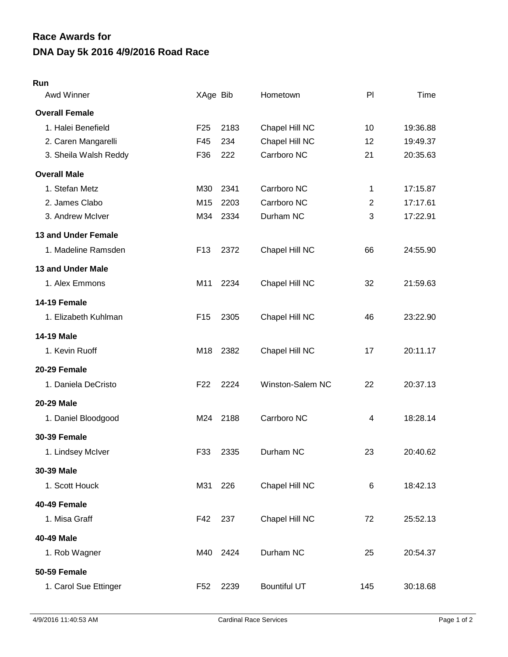## **DNA Day 5k 2016 4/9/2016 Road Race Race Awards for**

## **Run**

| Awd Winner            | XAge Bib        |      | Hometown            | PI             | Time     |
|-----------------------|-----------------|------|---------------------|----------------|----------|
| <b>Overall Female</b> |                 |      |                     |                |          |
| 1. Halei Benefield    | F <sub>25</sub> | 2183 | Chapel Hill NC      | 10             | 19:36.88 |
| 2. Caren Mangarelli   | F45             | 234  | Chapel Hill NC      | 12             | 19:49.37 |
| 3. Sheila Walsh Reddy | F36             | 222  | Carrboro NC         | 21             | 20:35.63 |
| <b>Overall Male</b>   |                 |      |                     |                |          |
| 1. Stefan Metz        | M30             | 2341 | Carrboro NC         | 1              | 17:15.87 |
| 2. James Clabo        | M15             | 2203 | Carrboro NC         | $\overline{2}$ | 17:17.61 |
| 3. Andrew McIver      | M34             | 2334 | Durham NC           | 3              | 17:22.91 |
| 13 and Under Female   |                 |      |                     |                |          |
| 1. Madeline Ramsden   | F <sub>13</sub> | 2372 | Chapel Hill NC      | 66             | 24:55.90 |
| 13 and Under Male     |                 |      |                     |                |          |
| 1. Alex Emmons        | M11             | 2234 | Chapel Hill NC      | 32             | 21:59.63 |
| 14-19 Female          |                 |      |                     |                |          |
| 1. Elizabeth Kuhlman  | F <sub>15</sub> | 2305 | Chapel Hill NC      | 46             | 23:22.90 |
| <b>14-19 Male</b>     |                 |      |                     |                |          |
| 1. Kevin Ruoff        | M18             | 2382 | Chapel Hill NC      | 17             | 20:11.17 |
| 20-29 Female          |                 |      |                     |                |          |
| 1. Daniela DeCristo   | F <sub>22</sub> | 2224 | Winston-Salem NC    | 22             | 20:37.13 |
| 20-29 Male            |                 |      |                     |                |          |
| 1. Daniel Bloodgood   | M24             | 2188 | Carrboro NC         | 4              | 18:28.14 |
| <b>30-39 Female</b>   |                 |      |                     |                |          |
| 1. Lindsey McIver     | F33             | 2335 | Durham NC           | 23             | 20:40.62 |
| 30-39 Male            |                 |      |                     |                |          |
| 1. Scott Houck        | M31             | 226  | Chapel Hill NC      | 6              | 18:42.13 |
| 40-49 Female          |                 |      |                     |                |          |
| 1. Misa Graff         | F42             | 237  | Chapel Hill NC      | 72             | 25:52.13 |
| 40-49 Male            |                 |      |                     |                |          |
| 1. Rob Wagner         | M40             | 2424 | Durham NC           | 25             | 20:54.37 |
| 50-59 Female          |                 |      |                     |                |          |
| 1. Carol Sue Ettinger | F <sub>52</sub> | 2239 | <b>Bountiful UT</b> | 145            | 30:18.68 |
|                       |                 |      |                     |                |          |